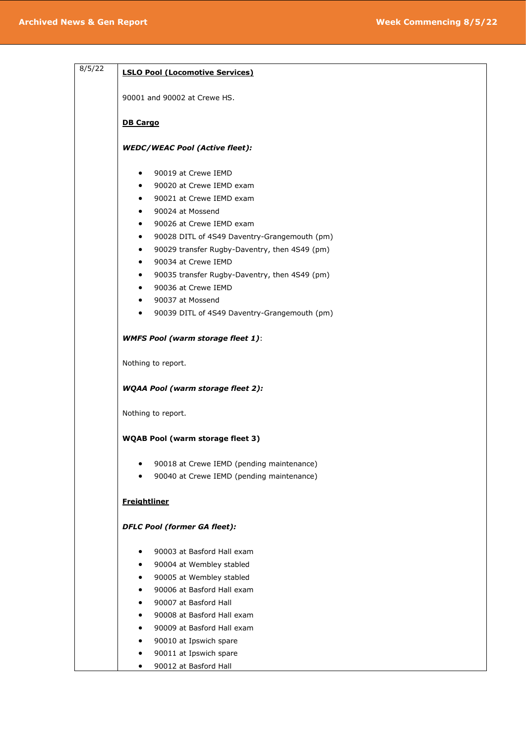| <b>LSLO Pool (Locomotive Services)</b><br>90001 and 90002 at Crewe HS.<br><b>DB Cargo</b><br><b>WEDC/WEAC Pool (Active fleet):</b><br>90019 at Crewe IEMD<br>$\bullet$<br>90020 at Crewe IEMD exam<br>$\bullet$<br>90021 at Crewe IEMD exam<br>90024 at Mossend<br>$\bullet$<br>90026 at Crewe IEMD exam<br>$\bullet$<br>90028 DITL of 4S49 Daventry-Grangemouth (pm)<br>$\bullet$<br>90029 transfer Rugby-Daventry, then 4S49 (pm)<br>٠<br>90034 at Crewe IEMD<br>٠<br>90035 transfer Rugby-Daventry, then 4S49 (pm)<br>$\bullet$<br>90036 at Crewe IEMD<br>$\bullet$<br>90037 at Mossend<br>$\bullet$<br>90039 DITL of 4S49 Daventry-Grangemouth (pm)<br>$\bullet$<br><b>WMFS Pool (warm storage fleet 1):</b><br>Nothing to report.<br><b>WQAA Pool (warm storage fleet 2):</b><br>Nothing to report.<br><b>WQAB Pool (warm storage fleet 3)</b><br>90018 at Crewe IEMD (pending maintenance)<br>٠<br>90040 at Crewe IEMD (pending maintenance)<br><b>Freightliner</b><br><b>DFLC Pool (former GA fleet):</b><br>90003 at Basford Hall exam<br>٠ |        |                               |
|-----------------------------------------------------------------------------------------------------------------------------------------------------------------------------------------------------------------------------------------------------------------------------------------------------------------------------------------------------------------------------------------------------------------------------------------------------------------------------------------------------------------------------------------------------------------------------------------------------------------------------------------------------------------------------------------------------------------------------------------------------------------------------------------------------------------------------------------------------------------------------------------------------------------------------------------------------------------------------------------------------------------------------------------------------|--------|-------------------------------|
|                                                                                                                                                                                                                                                                                                                                                                                                                                                                                                                                                                                                                                                                                                                                                                                                                                                                                                                                                                                                                                                     | 8/5/22 |                               |
|                                                                                                                                                                                                                                                                                                                                                                                                                                                                                                                                                                                                                                                                                                                                                                                                                                                                                                                                                                                                                                                     |        |                               |
|                                                                                                                                                                                                                                                                                                                                                                                                                                                                                                                                                                                                                                                                                                                                                                                                                                                                                                                                                                                                                                                     |        |                               |
|                                                                                                                                                                                                                                                                                                                                                                                                                                                                                                                                                                                                                                                                                                                                                                                                                                                                                                                                                                                                                                                     |        |                               |
|                                                                                                                                                                                                                                                                                                                                                                                                                                                                                                                                                                                                                                                                                                                                                                                                                                                                                                                                                                                                                                                     |        |                               |
|                                                                                                                                                                                                                                                                                                                                                                                                                                                                                                                                                                                                                                                                                                                                                                                                                                                                                                                                                                                                                                                     |        |                               |
|                                                                                                                                                                                                                                                                                                                                                                                                                                                                                                                                                                                                                                                                                                                                                                                                                                                                                                                                                                                                                                                     |        |                               |
|                                                                                                                                                                                                                                                                                                                                                                                                                                                                                                                                                                                                                                                                                                                                                                                                                                                                                                                                                                                                                                                     |        |                               |
|                                                                                                                                                                                                                                                                                                                                                                                                                                                                                                                                                                                                                                                                                                                                                                                                                                                                                                                                                                                                                                                     |        |                               |
|                                                                                                                                                                                                                                                                                                                                                                                                                                                                                                                                                                                                                                                                                                                                                                                                                                                                                                                                                                                                                                                     |        |                               |
|                                                                                                                                                                                                                                                                                                                                                                                                                                                                                                                                                                                                                                                                                                                                                                                                                                                                                                                                                                                                                                                     |        |                               |
|                                                                                                                                                                                                                                                                                                                                                                                                                                                                                                                                                                                                                                                                                                                                                                                                                                                                                                                                                                                                                                                     |        |                               |
|                                                                                                                                                                                                                                                                                                                                                                                                                                                                                                                                                                                                                                                                                                                                                                                                                                                                                                                                                                                                                                                     |        |                               |
|                                                                                                                                                                                                                                                                                                                                                                                                                                                                                                                                                                                                                                                                                                                                                                                                                                                                                                                                                                                                                                                     |        |                               |
|                                                                                                                                                                                                                                                                                                                                                                                                                                                                                                                                                                                                                                                                                                                                                                                                                                                                                                                                                                                                                                                     |        |                               |
|                                                                                                                                                                                                                                                                                                                                                                                                                                                                                                                                                                                                                                                                                                                                                                                                                                                                                                                                                                                                                                                     |        |                               |
|                                                                                                                                                                                                                                                                                                                                                                                                                                                                                                                                                                                                                                                                                                                                                                                                                                                                                                                                                                                                                                                     |        |                               |
|                                                                                                                                                                                                                                                                                                                                                                                                                                                                                                                                                                                                                                                                                                                                                                                                                                                                                                                                                                                                                                                     |        |                               |
|                                                                                                                                                                                                                                                                                                                                                                                                                                                                                                                                                                                                                                                                                                                                                                                                                                                                                                                                                                                                                                                     |        |                               |
|                                                                                                                                                                                                                                                                                                                                                                                                                                                                                                                                                                                                                                                                                                                                                                                                                                                                                                                                                                                                                                                     |        |                               |
|                                                                                                                                                                                                                                                                                                                                                                                                                                                                                                                                                                                                                                                                                                                                                                                                                                                                                                                                                                                                                                                     |        |                               |
|                                                                                                                                                                                                                                                                                                                                                                                                                                                                                                                                                                                                                                                                                                                                                                                                                                                                                                                                                                                                                                                     |        |                               |
|                                                                                                                                                                                                                                                                                                                                                                                                                                                                                                                                                                                                                                                                                                                                                                                                                                                                                                                                                                                                                                                     |        |                               |
|                                                                                                                                                                                                                                                                                                                                                                                                                                                                                                                                                                                                                                                                                                                                                                                                                                                                                                                                                                                                                                                     |        |                               |
|                                                                                                                                                                                                                                                                                                                                                                                                                                                                                                                                                                                                                                                                                                                                                                                                                                                                                                                                                                                                                                                     |        |                               |
|                                                                                                                                                                                                                                                                                                                                                                                                                                                                                                                                                                                                                                                                                                                                                                                                                                                                                                                                                                                                                                                     |        |                               |
|                                                                                                                                                                                                                                                                                                                                                                                                                                                                                                                                                                                                                                                                                                                                                                                                                                                                                                                                                                                                                                                     |        |                               |
|                                                                                                                                                                                                                                                                                                                                                                                                                                                                                                                                                                                                                                                                                                                                                                                                                                                                                                                                                                                                                                                     |        |                               |
|                                                                                                                                                                                                                                                                                                                                                                                                                                                                                                                                                                                                                                                                                                                                                                                                                                                                                                                                                                                                                                                     |        | 90004 at Wembley stabled<br>٠ |
| 90005 at Wembley stabled                                                                                                                                                                                                                                                                                                                                                                                                                                                                                                                                                                                                                                                                                                                                                                                                                                                                                                                                                                                                                            |        |                               |
| 90006 at Basford Hall exam                                                                                                                                                                                                                                                                                                                                                                                                                                                                                                                                                                                                                                                                                                                                                                                                                                                                                                                                                                                                                          |        |                               |
| 90007 at Basford Hall                                                                                                                                                                                                                                                                                                                                                                                                                                                                                                                                                                                                                                                                                                                                                                                                                                                                                                                                                                                                                               |        |                               |
| 90008 at Basford Hall exam                                                                                                                                                                                                                                                                                                                                                                                                                                                                                                                                                                                                                                                                                                                                                                                                                                                                                                                                                                                                                          |        |                               |
| 90009 at Basford Hall exam                                                                                                                                                                                                                                                                                                                                                                                                                                                                                                                                                                                                                                                                                                                                                                                                                                                                                                                                                                                                                          |        |                               |
| 90010 at Ipswich spare                                                                                                                                                                                                                                                                                                                                                                                                                                                                                                                                                                                                                                                                                                                                                                                                                                                                                                                                                                                                                              |        |                               |
| 90011 at Ipswich spare<br>٠                                                                                                                                                                                                                                                                                                                                                                                                                                                                                                                                                                                                                                                                                                                                                                                                                                                                                                                                                                                                                         |        |                               |
| 90012 at Basford Hall<br>٠                                                                                                                                                                                                                                                                                                                                                                                                                                                                                                                                                                                                                                                                                                                                                                                                                                                                                                                                                                                                                          |        |                               |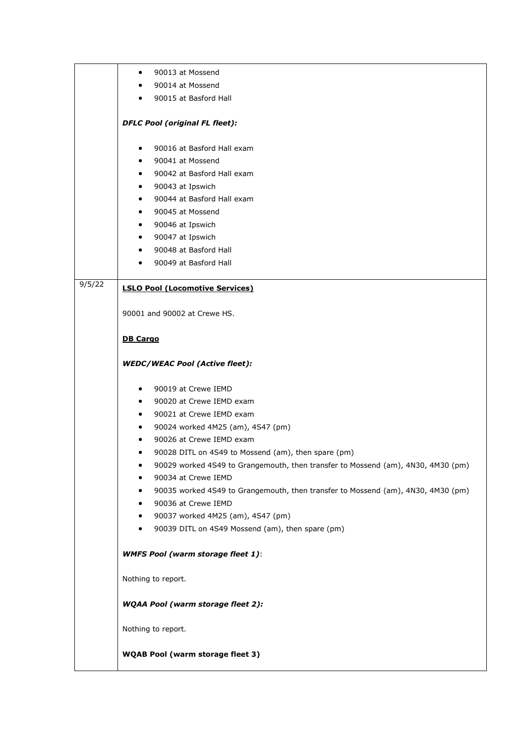|        | 90013 at Mossend<br>$\bullet$                                                         |
|--------|---------------------------------------------------------------------------------------|
|        | 90014 at Mossend<br>$\bullet$                                                         |
|        | 90015 at Basford Hall<br>٠                                                            |
|        |                                                                                       |
|        | <b>DFLC Pool (original FL fleet):</b>                                                 |
|        | 90016 at Basford Hall exam<br>$\bullet$                                               |
|        | 90041 at Mossend<br>$\bullet$                                                         |
|        | 90042 at Basford Hall exam<br>$\bullet$                                               |
|        | 90043 at Ipswich<br>$\bullet$                                                         |
|        | 90044 at Basford Hall exam<br>$\bullet$                                               |
|        | 90045 at Mossend<br>$\bullet$                                                         |
|        | 90046 at Ipswich<br>$\bullet$                                                         |
|        | 90047 at Ipswich<br>$\bullet$                                                         |
|        | 90048 at Basford Hall<br>$\bullet$                                                    |
|        | 90049 at Basford Hall                                                                 |
| 9/5/22 | <b>LSLO Pool (Locomotive Services)</b>                                                |
|        |                                                                                       |
|        | 90001 and 90002 at Crewe HS.                                                          |
|        | <b>DB Cargo</b>                                                                       |
|        | <b>WEDC/WEAC Pool (Active fleet):</b>                                                 |
|        | 90019 at Crewe IEMD<br>$\bullet$                                                      |
|        | 90020 at Crewe IEMD exam<br>$\bullet$                                                 |
|        | 90021 at Crewe IEMD exam<br>$\bullet$                                                 |
|        | 90024 worked 4M25 (am), 4S47 (pm)<br>$\bullet$                                        |
|        | 90026 at Crewe IEMD exam<br>$\bullet$                                                 |
|        | 90028 DITL on 4S49 to Mossend (am), then spare (pm)<br>$\bullet$                      |
|        | 90029 worked 4S49 to Grangemouth, then transfer to Mossend (am), 4N30, 4M30 (pm)<br>٠ |
|        | 90034 at Crewe IEMD                                                                   |
|        | 90035 worked 4S49 to Grangemouth, then transfer to Mossend (am), 4N30, 4M30 (pm)      |
|        | 90036 at Crewe IEMD<br>$\bullet$                                                      |
|        | 90037 worked 4M25 (am), 4S47 (pm)<br>$\bullet$                                        |
|        | 90039 DITL on 4S49 Mossend (am), then spare (pm)<br>$\bullet$                         |
|        | <b>WMFS Pool (warm storage fleet 1):</b>                                              |
|        | Nothing to report.                                                                    |
|        | <b>WQAA Pool (warm storage fleet 2):</b>                                              |
|        | Nothing to report.                                                                    |
|        | <b>WQAB Pool (warm storage fleet 3)</b>                                               |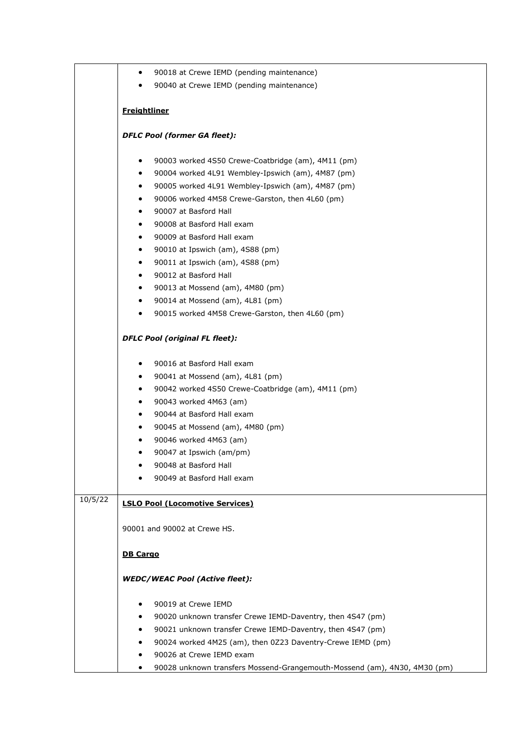|         | $\bullet$           | 90018 at Crewe IEMD (pending maintenance)                                              |
|---------|---------------------|----------------------------------------------------------------------------------------|
|         | $\bullet$           | 90040 at Crewe IEMD (pending maintenance)                                              |
|         |                     |                                                                                        |
|         | <b>Freightliner</b> |                                                                                        |
|         |                     | <b>DFLC Pool (former GA fleet):</b>                                                    |
|         |                     |                                                                                        |
|         | ٠                   | 90003 worked 4S50 Crewe-Coatbridge (am), 4M11 (pm)                                     |
|         | $\bullet$           | 90004 worked 4L91 Wembley-Ipswich (am), 4M87 (pm)                                      |
|         | $\bullet$           | 90005 worked 4L91 Wembley-Ipswich (am), 4M87 (pm)                                      |
|         | $\bullet$           | 90006 worked 4M58 Crewe-Garston, then 4L60 (pm)                                        |
|         | $\bullet$           | 90007 at Basford Hall                                                                  |
|         | $\bullet$           | 90008 at Basford Hall exam                                                             |
|         | $\bullet$           | 90009 at Basford Hall exam                                                             |
|         | $\bullet$           | 90010 at Ipswich (am), 4S88 (pm)                                                       |
|         | $\bullet$           | 90011 at Ipswich (am), 4S88 (pm)                                                       |
|         | $\bullet$           | 90012 at Basford Hall                                                                  |
|         | $\bullet$           | 90013 at Mossend (am), 4M80 (pm)                                                       |
|         | $\bullet$           | 90014 at Mossend (am), 4L81 (pm)                                                       |
|         | $\bullet$           | 90015 worked 4M58 Crewe-Garston, then 4L60 (pm)                                        |
|         |                     | <b>DFLC Pool (original FL fleet):</b>                                                  |
|         | $\bullet$           | 90016 at Basford Hall exam                                                             |
|         | ٠                   | 90041 at Mossend (am), 4L81 (pm)                                                       |
|         | $\bullet$           | 90042 worked 4S50 Crewe-Coatbridge (am), 4M11 (pm)                                     |
|         | $\bullet$           | 90043 worked 4M63 (am)                                                                 |
|         | $\bullet$           | 90044 at Basford Hall exam                                                             |
|         | $\bullet$           | 90045 at Mossend (am), 4M80 (pm)                                                       |
|         |                     | 90046 worked 4M63 (am)                                                                 |
|         | ٠                   | 90047 at Ipswich (am/pm)                                                               |
|         |                     | 90048 at Basford Hall                                                                  |
|         |                     | 90049 at Basford Hall exam                                                             |
| 10/5/22 |                     | <b>LSLO Pool (Locomotive Services)</b>                                                 |
|         |                     | 90001 and 90002 at Crewe HS.                                                           |
|         | <b>DB Cargo</b>     |                                                                                        |
|         |                     | <b>WEDC/WEAC Pool (Active fleet):</b>                                                  |
|         |                     | 90019 at Crewe IEMD                                                                    |
|         | ٠                   | 90020 unknown transfer Crewe IEMD-Daventry, then 4S47 (pm)                             |
|         | $\bullet$           |                                                                                        |
|         | ٠                   | 90021 unknown transfer Crewe IEMD-Daventry, then 4S47 (pm)                             |
|         |                     | 90024 worked 4M25 (am), then 0Z23 Daventry-Crewe IEMD (pm)<br>90026 at Crewe IEMD exam |
|         |                     | 90028 unknown transfers Mossend-Grangemouth-Mossend (am), 4N30, 4M30 (pm)              |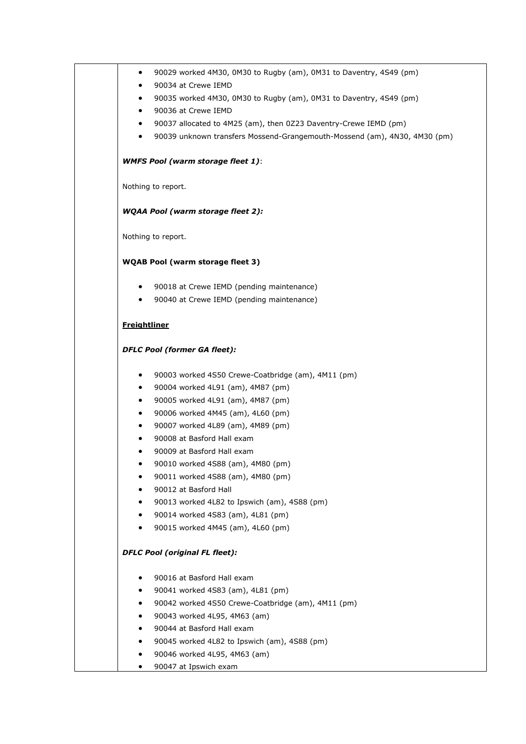| ٠                   | 90029 worked 4M30, 0M30 to Rugby (am), 0M31 to Daventry, 4S49 (pm)        |
|---------------------|---------------------------------------------------------------------------|
|                     | 90034 at Crewe IEMD                                                       |
| ٠                   | 90035 worked 4M30, 0M30 to Rugby (am), 0M31 to Daventry, 4S49 (pm)        |
| $\bullet$           | 90036 at Crewe IEMD                                                       |
| $\bullet$           | 90037 allocated to 4M25 (am), then 0Z23 Daventry-Crewe IEMD (pm)          |
| ٠                   | 90039 unknown transfers Mossend-Grangemouth-Mossend (am), 4N30, 4M30 (pm) |
|                     | <b>WMFS Pool (warm storage fleet 1):</b>                                  |
|                     | Nothing to report.                                                        |
|                     | <b>WQAA Pool (warm storage fleet 2):</b>                                  |
|                     | Nothing to report.                                                        |
|                     | <b>WQAB Pool (warm storage fleet 3)</b>                                   |
| ٠                   | 90018 at Crewe IEMD (pending maintenance)                                 |
| $\bullet$           | 90040 at Crewe IEMD (pending maintenance)                                 |
| <b>Freightliner</b> |                                                                           |
|                     | <b>DFLC Pool (former GA fleet):</b>                                       |
| ٠                   | 90003 worked 4S50 Crewe-Coatbridge (am), 4M11 (pm)                        |
| $\bullet$           | 90004 worked 4L91 (am), 4M87 (pm)                                         |
| $\bullet$           | 90005 worked 4L91 (am), 4M87 (pm)                                         |
| ٠                   | 90006 worked 4M45 (am), 4L60 (pm)                                         |
| $\bullet$           | 90007 worked 4L89 (am), 4M89 (pm)                                         |
|                     | 90008 at Basford Hall exam                                                |
|                     | 90009 at Basford Hall exam                                                |
|                     | 90010 worked 4S88 (am), 4M80 (pm)                                         |
|                     | 90011 worked 4S88 (am), 4M80 (pm)                                         |
|                     | 90012 at Basford Hall                                                     |
|                     | 90013 worked 4L82 to Ipswich (am), 4S88 (pm)                              |
|                     | 90014 worked 4S83 (am), 4L81 (pm)                                         |
|                     | 90015 worked 4M45 (am), 4L60 (pm)                                         |
|                     | <b>DFLC Pool (original FL fleet):</b>                                     |
|                     | 90016 at Basford Hall exam                                                |
| ٠                   | 90041 worked 4S83 (am), 4L81 (pm)                                         |
|                     | 90042 worked 4S50 Crewe-Coatbridge (am), 4M11 (pm)                        |
|                     | 90043 worked 4L95, 4M63 (am)                                              |
|                     | 90044 at Basford Hall exam                                                |
|                     | 90045 worked 4L82 to Ipswich (am), 4S88 (pm)                              |
|                     | 90046 worked 4L95, 4M63 (am)                                              |
|                     | 90047 at Ipswich exam                                                     |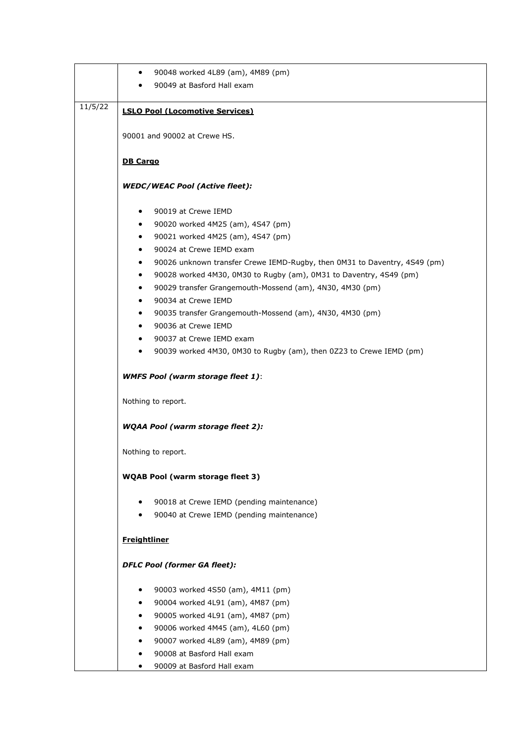|         | 90048 worked 4L89 (am), 4M89 (pm)<br>$\bullet$                                         |
|---------|----------------------------------------------------------------------------------------|
|         | 90049 at Basford Hall exam                                                             |
|         |                                                                                        |
| 11/5/22 | <b>LSLO Pool (Locomotive Services)</b>                                                 |
|         |                                                                                        |
|         | 90001 and 90002 at Crewe HS.                                                           |
|         |                                                                                        |
|         | <b>DB Cargo</b>                                                                        |
|         | <b>WEDC/WEAC Pool (Active fleet):</b>                                                  |
|         |                                                                                        |
|         | 90019 at Crewe IEMD<br>$\bullet$                                                       |
|         | 90020 worked 4M25 (am), 4S47 (pm)<br>$\bullet$                                         |
|         | 90021 worked 4M25 (am), 4S47 (pm)<br>$\bullet$                                         |
|         | 90024 at Crewe IEMD exam<br>٠                                                          |
|         | 90026 unknown transfer Crewe IEMD-Rugby, then 0M31 to Daventry, 4S49 (pm)<br>$\bullet$ |
|         | 90028 worked 4M30, 0M30 to Rugby (am), 0M31 to Daventry, 4S49 (pm)<br>$\bullet$        |
|         | 90029 transfer Grangemouth-Mossend (am), 4N30, 4M30 (pm)<br>$\bullet$                  |
|         | 90034 at Crewe IEMD<br>$\bullet$                                                       |
|         | 90035 transfer Grangemouth-Mossend (am), 4N30, 4M30 (pm)<br>$\bullet$                  |
|         | 90036 at Crewe IEMD<br>$\bullet$                                                       |
|         | 90037 at Crewe IEMD exam<br>$\bullet$                                                  |
|         | 90039 worked 4M30, 0M30 to Rugby (am), then 0Z23 to Crewe IEMD (pm)<br>٠               |
|         | <b>WMFS Pool (warm storage fleet 1):</b>                                               |
|         | Nothing to report.                                                                     |
|         | <b>WQAA Pool (warm storage fleet 2):</b>                                               |
|         | Nothing to report.                                                                     |
|         | <b>WQAB Pool (warm storage fleet 3)</b>                                                |
|         | 90018 at Crewe IEMD (pending maintenance)<br>٠                                         |
|         | 90040 at Crewe IEMD (pending maintenance)                                              |
|         | <b>Freightliner</b>                                                                    |
|         | <b>DFLC Pool (former GA fleet):</b>                                                    |
|         |                                                                                        |
|         | 90003 worked 4S50 (am), 4M11 (pm)<br>90004 worked 4L91 (am), 4M87 (pm)<br>$\bullet$    |
|         | 90005 worked 4L91 (am), 4M87 (pm)                                                      |
|         | 90006 worked 4M45 (am), 4L60 (pm)<br>٠                                                 |
|         | 90007 worked 4L89 (am), 4M89 (pm)<br>٠                                                 |
|         | 90008 at Basford Hall exam                                                             |
|         | 90009 at Basford Hall exam                                                             |
|         |                                                                                        |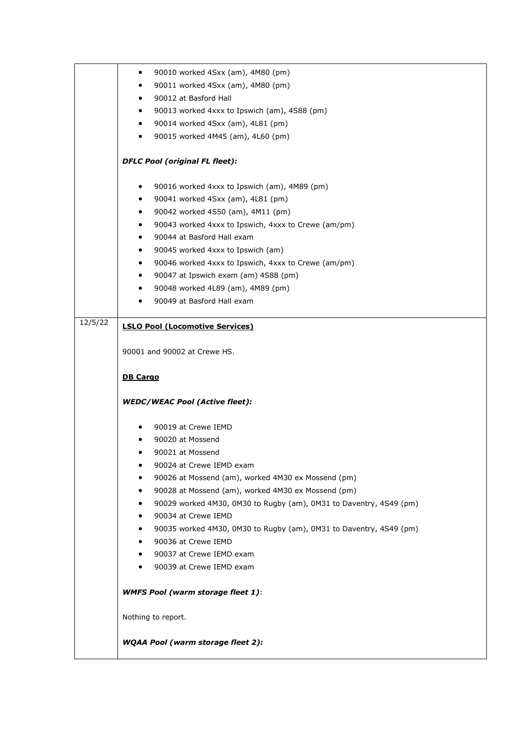|         | 90010 worked 4Sxx (am), 4M80 (pm)<br>$\bullet$                          |
|---------|-------------------------------------------------------------------------|
|         | 90011 worked 4Sxx (am), 4M80 (pm)<br>٠                                  |
|         | 90012 at Basford Hall<br>$\bullet$                                      |
|         | 90013 worked 4xxx to Ipswich (am), 4S88 (pm)<br>$\bullet$               |
|         | 90014 worked 4Sxx (am), 4L81 (pm)<br>$\bullet$                          |
|         | 90015 worked 4M45 (am), 4L60 (pm)<br>$\bullet$                          |
|         |                                                                         |
|         | <b>DFLC Pool (original FL fleet):</b>                                   |
|         | 90016 worked 4xxx to Ipswich (am), 4M89 (pm)<br>$\bullet$               |
|         | 90041 worked 4Sxx (am), 4L81 (pm)<br>$\bullet$                          |
|         | 90042 worked 4S50 (am), 4M11 (pm)<br>$\bullet$                          |
|         | 90043 worked 4xxx to Ipswich, 4xxx to Crewe (am/pm)<br>٠                |
|         | 90044 at Basford Hall exam<br>$\bullet$                                 |
|         | 90045 worked 4xxx to Ipswich (am)<br>$\bullet$                          |
|         | 90046 worked 4xxx to Ipswich, 4xxx to Crewe (am/pm)<br>$\bullet$        |
|         | 90047 at Ipswich exam (am) 4S88 (pm)<br>$\bullet$                       |
|         | 90048 worked 4L89 (am), 4M89 (pm)<br>$\bullet$                          |
|         | 90049 at Basford Hall exam                                              |
| 12/5/22 | <b>LSLO Pool (Locomotive Services)</b>                                  |
|         |                                                                         |
|         | 90001 and 90002 at Crewe HS.                                            |
|         | <b>DB Cargo</b>                                                         |
|         | <b>WEDC/WEAC Pool (Active fleet):</b>                                   |
|         | 90019 at Crewe IEMD                                                     |
|         | 90020 at Mossend                                                        |
|         | 90021 at Mossend                                                        |
|         | 90024 at Crewe IEMD exam                                                |
|         | 90026 at Mossend (am), worked 4M30 ex Mossend (pm)                      |
|         | 90028 at Mossend (am), worked 4M30 ex Mossend (pm)                      |
|         | 90029 worked 4M30, 0M30 to Rugby (am), 0M31 to Daventry, 4S49 (pm)      |
|         | 90034 at Crewe IEMD                                                     |
|         | 90035 worked 4M30, 0M30 to Rugby (am), 0M31 to Daventry, 4S49 (pm)<br>٠ |
|         | 90036 at Crewe IEMD                                                     |
|         | 90037 at Crewe IEMD exam                                                |
|         | 90039 at Crewe IEMD exam                                                |
|         |                                                                         |
|         | <b>WMFS Pool (warm storage fleet 1):</b>                                |
|         | Nothing to report.                                                      |
|         | <b>WQAA Pool (warm storage fleet 2):</b>                                |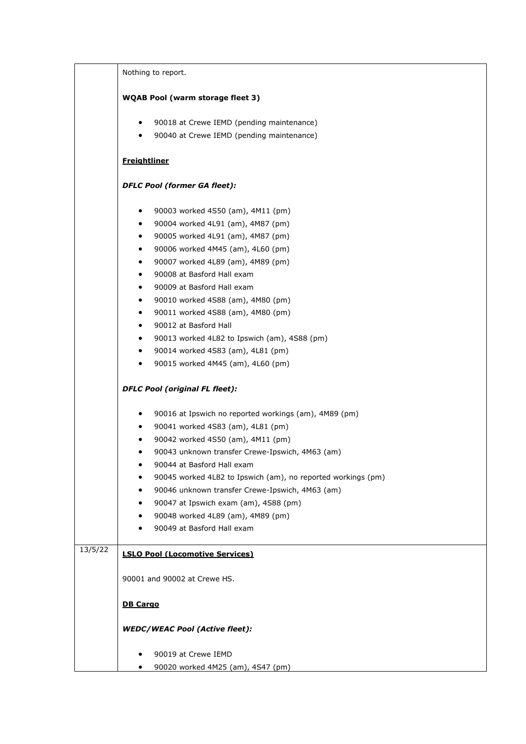|         | Nothing to report.                                           |
|---------|--------------------------------------------------------------|
|         | <b>WQAB Pool (warm storage fleet 3)</b>                      |
|         | 90018 at Crewe IEMD (pending maintenance)<br>$\bullet$       |
|         | 90040 at Crewe IEMD (pending maintenance)<br>$\bullet$       |
|         | <b>Freightliner</b>                                          |
|         | <b>DFLC Pool (former GA fleet):</b>                          |
|         | 90003 worked 4S50 (am), 4M11 (pm)<br>$\bullet$               |
|         | 90004 worked 4L91 (am), 4M87 (pm)<br>$\bullet$               |
|         | 90005 worked 4L91 (am), 4M87 (pm)<br>$\bullet$               |
|         | 90006 worked 4M45 (am), 4L60 (pm)<br>$\bullet$               |
|         | 90007 worked 4L89 (am), 4M89 (pm)<br>$\bullet$               |
|         | 90008 at Basford Hall exam<br>$\bullet$                      |
|         | 90009 at Basford Hall exam<br>$\bullet$                      |
|         | 90010 worked 4S88 (am), 4M80 (pm)<br>$\bullet$               |
|         | 90011 worked 4S88 (am), 4M80 (pm)<br>$\bullet$               |
|         | 90012 at Basford Hall<br>$\bullet$                           |
|         | 90013 worked 4L82 to Ipswich (am), 4S88 (pm)<br>$\bullet$    |
|         | 90014 worked 4S83 (am), 4L81 (pm)<br>$\bullet$               |
|         | 90015 worked 4M45 (am), 4L60 (pm)<br>$\bullet$               |
|         | <b>DFLC Pool (original FL fleet):</b>                        |
|         | 90016 at Ipswich no reported workings (am), 4M89 (pm)<br>٠   |
|         | 90041 worked 4S83 (am), 4L81 (pm)<br>$\bullet$               |
|         | 90042 worked 4S50 (am), 4M11 (pm)<br>$\bullet$               |
|         | 90043 unknown transfer Crewe-Ipswich, 4M63 (am)<br>٠         |
|         | 90044 at Basford Hall exam                                   |
|         | 90045 worked 4L82 to Ipswich (am), no reported workings (pm) |
|         | 90046 unknown transfer Crewe-Ipswich, 4M63 (am)<br>$\bullet$ |
|         | 90047 at Ipswich exam (am), 4S88 (pm)<br>$\bullet$           |
|         | 90048 worked 4L89 (am), 4M89 (pm)<br>٠                       |
|         | 90049 at Basford Hall exam                                   |
| 13/5/22 | <b>LSLO Pool (Locomotive Services)</b>                       |
|         |                                                              |
|         | 90001 and 90002 at Crewe HS.                                 |
|         | <b>DB Cargo</b>                                              |
|         | <b>WEDC/WEAC Pool (Active fleet):</b>                        |
|         |                                                              |
|         | 90019 at Crewe IEMD                                          |
|         | 90020 worked 4M25 (am), 4S47 (pm)                            |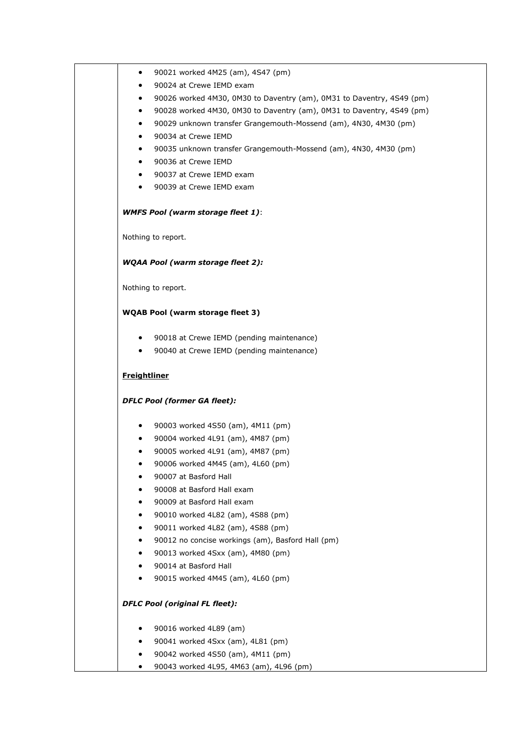|                     | 90024 at Crewe IEMD exam                                              |
|---------------------|-----------------------------------------------------------------------|
| ٠                   | 90026 worked 4M30, 0M30 to Daventry (am), 0M31 to Daventry, 4S49 (pm) |
| $\bullet$           | 90028 worked 4M30, 0M30 to Daventry (am), 0M31 to Daventry, 4S49 (pm) |
| ٠                   | 90029 unknown transfer Grangemouth-Mossend (am), 4N30, 4M30 (pm)      |
| $\bullet$           | 90034 at Crewe IEMD                                                   |
| ٠                   | 90035 unknown transfer Grangemouth-Mossend (am), 4N30, 4M30 (pm)      |
| ٠                   | 90036 at Crewe IEMD                                                   |
| $\bullet$           | 90037 at Crewe IEMD exam                                              |
| $\bullet$           | 90039 at Crewe IEMD exam                                              |
|                     | <b>WMFS Pool (warm storage fleet 1):</b>                              |
|                     | Nothing to report.                                                    |
|                     | WQAA Pool (warm storage fleet 2):                                     |
|                     | Nothing to report.                                                    |
|                     | <b>WQAB Pool (warm storage fleet 3)</b>                               |
| $\bullet$           | 90018 at Crewe IEMD (pending maintenance)                             |
|                     | 90040 at Crewe IEMD (pending maintenance)                             |
|                     |                                                                       |
| <b>Freightliner</b> |                                                                       |
|                     | <b>DFLC Pool (former GA fleet):</b>                                   |
| ٠                   | 90003 worked 4S50 (am), 4M11 (pm)                                     |
| $\bullet$           | 90004 worked 4L91 (am), 4M87 (pm)                                     |
| ٠                   | 90005 worked 4L91 (am), 4M87 (pm)                                     |
|                     | 90006 worked 4M45 (am), 4L60 (pm)                                     |
|                     | 90007 at Basford Hall                                                 |
|                     | 90008 at Basford Hall exam                                            |
| ٠                   | 90009 at Basford Hall exam                                            |
| ٠                   | 90010 worked 4L82 (am), 4S88 (pm)                                     |
| ٠                   | 90011 worked 4L82 (am), 4S88 (pm)                                     |
| ٠                   | 90012 no concise workings (am), Basford Hall (pm)                     |
| ٠                   | 90013 worked 4Sxx (am), 4M80 (pm)                                     |
| ٠                   | 90014 at Basford Hall                                                 |
|                     | 90015 worked 4M45 (am), 4L60 (pm)                                     |
|                     | <b>DFLC Pool (original FL fleet):</b>                                 |
|                     | 90016 worked 4L89 (am)                                                |
|                     | 90041 worked 4Sxx (am), 4L81 (pm)                                     |
|                     | 90042 worked 4S50 (am), 4M11 (pm)                                     |

٦

T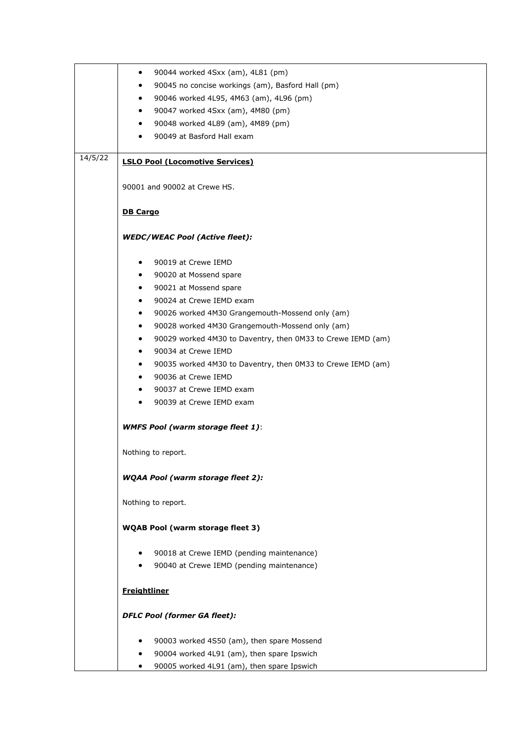|         | 90044 worked 4Sxx (am), 4L81 (pm)<br>٠                                   |
|---------|--------------------------------------------------------------------------|
|         | 90045 no concise workings (am), Basford Hall (pm)<br>$\bullet$           |
|         | 90046 worked 4L95, 4M63 (am), 4L96 (pm)<br>$\bullet$                     |
|         | 90047 worked 4Sxx (am), 4M80 (pm)<br>٠                                   |
|         | 90048 worked 4L89 (am), 4M89 (pm)<br>$\bullet$                           |
|         | 90049 at Basford Hall exam                                               |
|         |                                                                          |
| 14/5/22 | <b>LSLO Pool (Locomotive Services)</b>                                   |
|         | 90001 and 90002 at Crewe HS.                                             |
|         | <b>DB Cargo</b>                                                          |
|         | <b>WEDC/WEAC Pool (Active fleet):</b>                                    |
|         | 90019 at Crewe IEMD<br>٠                                                 |
|         | 90020 at Mossend spare<br>$\bullet$                                      |
|         | 90021 at Mossend spare<br>$\bullet$                                      |
|         | 90024 at Crewe IEMD exam<br>٠                                            |
|         | 90026 worked 4M30 Grangemouth-Mossend only (am)<br>$\bullet$             |
|         |                                                                          |
|         | 90028 worked 4M30 Grangemouth-Mossend only (am)<br>$\bullet$             |
|         | 90029 worked 4M30 to Daventry, then 0M33 to Crewe IEMD (am)<br>$\bullet$ |
|         | 90034 at Crewe IEMD<br>$\bullet$                                         |
|         | 90035 worked 4M30 to Daventry, then 0M33 to Crewe IEMD (am)<br>٠         |
|         | 90036 at Crewe IEMD<br>$\bullet$                                         |
|         | 90037 at Crewe IEMD exam<br>$\bullet$                                    |
|         | 90039 at Crewe IEMD exam<br>$\bullet$                                    |
|         | <b>WMFS Pool (warm storage fleet 1):</b>                                 |
|         | Nothing to report.                                                       |
|         | <b>WQAA Pool (warm storage fleet 2):</b>                                 |
|         | Nothing to report.                                                       |
|         | <b>WQAB Pool (warm storage fleet 3)</b>                                  |
|         | 90018 at Crewe IEMD (pending maintenance)<br>٠                           |
|         | 90040 at Crewe IEMD (pending maintenance)                                |
|         | <b>Freightliner</b>                                                      |
|         | <b>DFLC Pool (former GA fleet):</b>                                      |
|         | 90003 worked 4S50 (am), then spare Mossend                               |
|         | 90004 worked 4L91 (am), then spare Ipswich                               |
|         | 90005 worked 4L91 (am), then spare Ipswich                               |
|         |                                                                          |